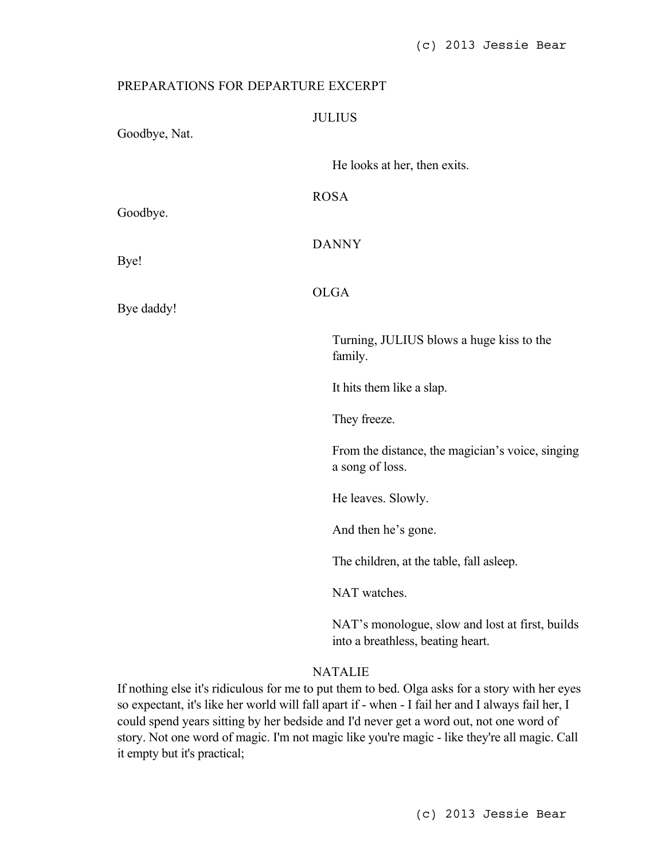## PREPARATIONS FOR DEPARTURE EXCERPT JULIUS Goodbye, Nat. He looks at her, then exits. ROSA Goodbye. DANNY Bye! OLGA Bye daddy! Turning, JULIUS blows a huge kiss to the family. It hits them like a slap. They freeze. From the distance, the magician's voice, singing a song of loss. He leaves. Slowly. And then he's gone. The children, at the table, fall asleep.

NAT watches.

NAT's monologue, slow and lost at first, builds into a breathless, beating heart.

## NATALIE

If nothing else it's ridiculous for me to put them to bed. Olga asks for a story with her eyes so expectant, it's like her world will fall apart if - when - I fail her and I always fail her, I could spend years sitting by her bedside and I'd never get a word out, not one word of story. Not one word of magic. I'm not magic like you're magic - like they're all magic. Call it empty but it's practical;